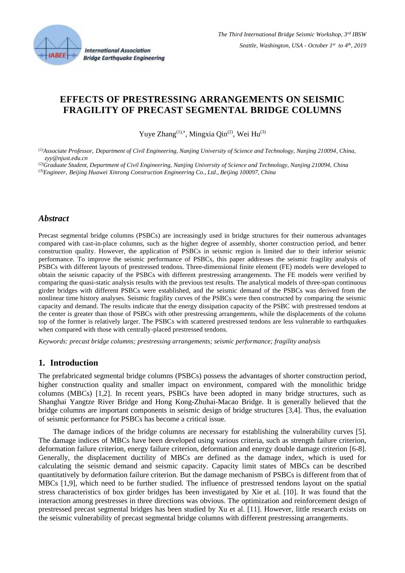

# **EFFECTS OF PRESTRESSING ARRANGEMENTS ON SEISMIC FRAGILITY OF PRECAST SEGMENTAL BRIDGE COLUMNS**

Yuye Zhang $^{(1),*}$ , Mingxia Qin $^{(2)}$ , Wei Hu $^{(3)}$ 

*(1)Associate Professor, Department of Civil Engineering, Nanjing University of Science and Technology, Nanjing 210094, China, zyy@njust.edu.cn*

*(2)Graduate Student, Department of Civil Engineering, Nanjing University of Science and Technology, Nanjing 210094, China (3)Engineer, Beijing Huawei Xinrong Construction Engineering Co., Ltd., Beijing 100097, China*

## *Abstract*

Precast segmental bridge columns (PSBCs) are increasingly used in bridge structures for their numerous advantages compared with cast-in-place columns, such as the higher degree of assembly, shorter construction period, and better construction quality. However, the application of PSBCs in seismic region is limited due to their inferior seismic performance. To improve the seismic performance of PSBCs, this paper addresses the seismic fragility analysis of PSBCs with different layouts of prestressed tendons. Three-dimensional finite element (FE) models were developed to obtain the seismic capacity of the PSBCs with different prestressing arrangements. The FE models were verified by comparing the quasi-static analysis results with the previous test results. The analytical models of three-span continuous girder bridges with different PSBCs were established, and the seismic demand of the PSBCs was derived from the nonlinear time history analyses. Seismic fragility curves of the PSBCs were then constructed by comparing the seismic capacity and demand. The results indicate that the energy dissipation capacity of the PSBC with prestressed tendons at the center is greater than those of PSBCs with other prestressing arrangements, while the displacements of the column top of the former is relatively larger. The PSBCs with scattered prestressed tendons are less vulnerable to earthquakes when compared with those with centrally-placed prestressed tendons.

*Keywords: precast bridge columns; prestressing arrangements; seismic performance; fragility analysis*

## **1. Introduction**

The prefabricated segmental bridge columns (PSBCs) possess the advantages of shorter construction period, higher construction quality and smaller impact on environment, compared with the monolithic bridge columns (MBCs) [1,2]. In recent years, PSBCs have been adopted in many bridge structures, such as Shanghai Yangtze River Bridge and Hong Kong-Zhuhai-Macao Bridge. It is generally believed that the bridge columns are important components in seismic design of bridge structures [3,4]. Thus, the evaluation of seismic performance for PSBCs has become a critical issue.

The damage indices of the bridge columns are necessary for establishing the vulnerability curves [5]. The damage indices of MBCs have been developed using various criteria, such as strength failure criterion, deformation failure criterion, energy failure criterion, deformation and energy double damage criterion [6-8]. Generally, the displacement ductility of MBCs are defined as the damage index, which is used for calculating the seismic demand and seismic capacity. Capacity limit states of MBCs can be described quantitatively by deformation failure criterion. But the damage mechanism of PSBCs is different from that of MBCs [1,9], which need to be further studied. The influence of prestressed tendons layout on the spatial stress characteristics of box girder bridges has been investigated by Xie et al. [10]. It was found that the interaction among prestresses in three directions was obvious. The optimization and reinforcement design of prestressed precast segmental bridges has been studied by Xu et al. [11]. However, little research exists on the seismic vulnerability of precast segmental bridge columns with different prestressing arrangements.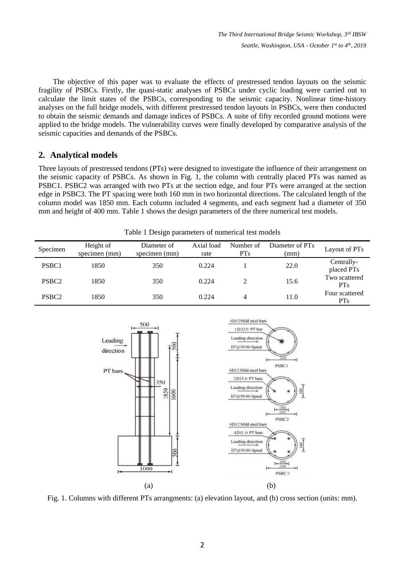The objective of this paper was to evaluate the effects of prestressed tendon layouts on the seismic fragility of PSBCs. Firstly, the quasi-static analyses of PSBCs under cyclic loading were carried out to calculate the limit states of the PSBCs, corresponding to the seismic capacity. Nonlinear time-history analyses on the full bridge models, with different prestressed tendon layouts in PSBCs, were then conducted to obtain the seismic demands and damage indices of PSBCs. A suite of fifty recorded ground motions were applied to the bridge models. The vulnerability curves were finally developed by comparative analysis of the seismic capacities and demands of the PSBCs.

## **2. Analytical models**

Three layouts of prestressed tendons (PTs) were designed to investigate the influence of their arrangement on the seismic capacity of PSBCs. As shown in Fig. 1, the column with centrally placed PTs was named as PSBC1. PSBC2 was arranged with two PTs at the section edge, and four PTs were arranged at the section edge in PSBC3. The PT spacing were both 160 mm in two horizontal directions. The calculated length of the column model was 1850 mm. Each column included 4 segments, and each segment had a diameter of 350 mm and height of 400 mm. Table 1 shows the design parameters of the three numerical test models.

| Specimen          | Height of<br>specimen (mm) | Diameter of<br>specimen (mm) | Axial load<br>rate | Number of<br><b>PTs</b> | Diameter of PT <sub>s</sub><br>(mm) | Layout of PT <sub>s</sub>         |
|-------------------|----------------------------|------------------------------|--------------------|-------------------------|-------------------------------------|-----------------------------------|
| PSBC1             | 1850                       | 350                          | 0.224              |                         | 22.0                                | Centrally-<br>placed PTs          |
| PSBC <sub>2</sub> | 1850                       | 350                          | 0.224              | ↑                       | 15.6                                | Two scattered<br><b>PTs</b>       |
| PSBC <sub>2</sub> | 1850                       | 350                          | 0.224              | 4                       | 11.0                                | Four scattered<br>PT <sub>s</sub> |

Table 1 Design parameters of numerical test models



Fig. 1. Columns with different PTs arrangments: (a) elevation layout, and (b) cross section (units: mm).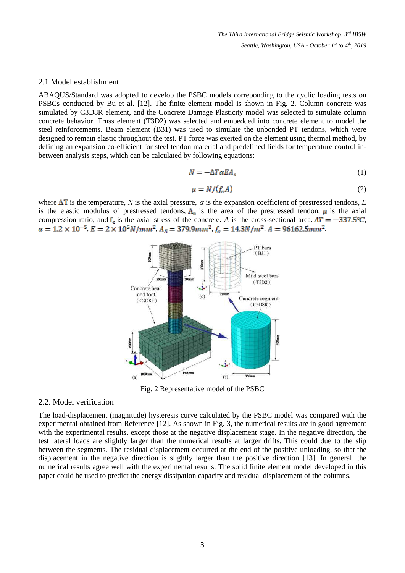#### 2.1 Model establishment

ABAQUS/Standard was adopted to develop the PSBC models correponding to the cyclic loading tests on PSBCs conducted by Bu et al. [12]. The finite element model is shown in Fig. 2. Column concrete was simulated by C3D8R element, and the Concrete Damage Plasticity model was selected to simulate column concrete behavior. Truss element (T3D2) was selected and embedded into concrete element to model the steel reinforcements. Beam element (B31) was used to simulate the unbonded PT tendons, which were designed to remain elastic throughout the test. PT force was exerted on the element using thermal method, by defining an expansion co-efficient for steel tendon material and predefined fields for temperature control inbetween analysis steps, which can be calculated by following equations:

$$
N = -\Delta T \alpha E A_s \tag{1}
$$

$$
\mu = N / (f_c A) \tag{2}
$$

where  $\Delta T$  is the temperature, *N* is the axial pressure,  $\alpha$  is the expansion coefficient of prestressed tendons, *E* is the elastic modulus of prestressed tendons,  $A_s$  is the area of the prestressed tendon,  $\mu$  is the axial compression ratio, and  $f_c$  is the axial stress of the concrete. *A* is the cross-sectional area.  $\Delta T = -337.5$ °C,  $\alpha = 1.2 \times 10^{-5}$ ,  $E = 2 \times 10^5 N/mm^2$ ,  $A_s = 379.9 mm^2$ ,  $f_c = 14.3 N/m^2$ ,  $A = 96162.5 mm^2$ .



Fig. 2 Representative model of the PSBC

#### 2.2. Model verification

The load-displacement (magnitude) hysteresis curve calculated by the PSBC model was compared with the experimental obtained from Reference [12]. As shown in Fig. 3, the numerical results are in good agreement with the experimental results, except those at the negative displacement stage. In the negative direction, the test lateral loads are slightly larger than the numerical results at larger drifts. This could due to the slip between the segments. The residual displacement occurred at the end of the positive unloading, so that the displacement in the negative direction is slightly larger than the positive direction [13]. In general, the numerical results agree well with the experimental results. The solid finite element model developed in this paper could be used to predict the energy dissipation capacity and residual displacement of the columns.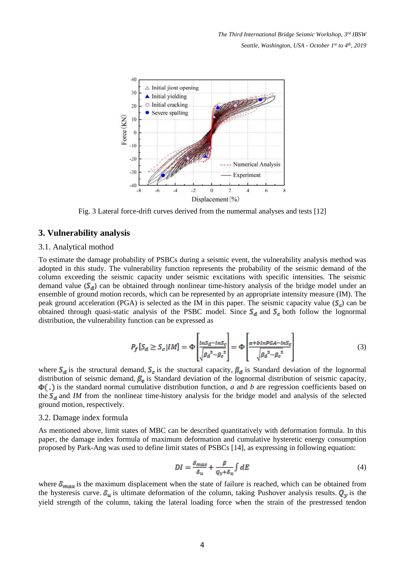

Fig. 3 Lateral force-drift curves derived from the numermal analyses and tests [12]

#### **3. Vulnerability analysis**

#### 3.1. Analytical mothod

To estimate the damage probability of PSBCs during a seismic event, the vulnerability analysis method was adopted in this study. The vulnerability function represents the probability of the seismic demand of the column exceeding the seismic capacity under seismic excitations with specific intensities. The seismic demand value  $(S_d)$  can be obtained through nonlinear time-history analysis of the bridge model under an ensemble of ground motion records, which can be represented by an appropriate intensity measure (IM). The peak ground acceleration (PGA) is selected as the IM in this paper. The seismic capacity value  $(S<sub>e</sub>)$  can be obtained through quasi-static analysis of the PSBC model. Since  $S_d$  and  $S_c$  both follow the lognormal distribution, the vulnerability function can be expressed as

$$
P_f[S_d \ge S_c | IM] = \Phi \left[ \frac{\ln S_d - \ln S_c}{\sqrt{\beta_d^2 - \beta_c^2}} \right] = \Phi \left[ \frac{a + \frac{b \ln \text{pGA} - \ln S_c}{\sqrt{\beta_d^2 - \beta_c^2}}}{\sqrt{\beta_d^2 - \beta_c^2}} \right] \tag{3}
$$

where  $S_d$  is the structural demand,  $S_c$  is the stuctural capacity,  $\beta_d$  is Standard deviation of the lognormal distribution of seismic demand,  $\beta_c$  is Standard deviation of the lognormal distribution of seismic capacity,  $\Phi(.)$  is the standard normal cumulative distribution function, *a* and *b* are regression coefficients based on the  $S_d$  and *IM* from the nonlinear time-history analysis for the bridge model and analysis of the selected ground motion, respectively.

#### 3.2. Damage index formula

As mentioned above, limit states of MBC can be described quantitatively with deformation formula. In this paper, the damage index formula of maximum deformation and cumulative hysteretic energy consumption proposed by Park-Ang was used to define limit states of PSBCs [14], as expressing in following equation:

$$
DI = \frac{\delta_{max}}{\delta_u} + \frac{\beta}{\rho_v + \delta_u} \int dE \tag{4}
$$

where  $\delta_{max}$  is the maximum displacement when the state of failure is reached, which can be obtained from the hysteresis curve.  $\delta_u$  is ultimate deformation of the column, taking Pushover analysis results.  $Q_y$  is the yield strength of the column, taking the lateral loading force when the strain of the prestressed tendon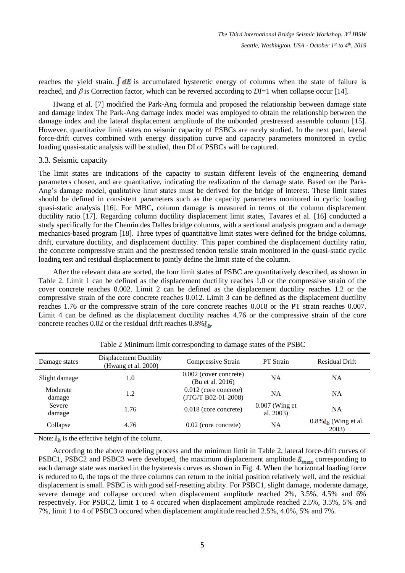reaches the yield strain.  $\int dE$  is accumulated hysteretic energy of columns when the state of failure is reached, and  $\beta$  is Correction factor, which can be reversed according to  $DI=1$  when collapse occur [14].

Hwang et al. [7] modified the Park-Ang formula and proposed the relationship between damage state and damage index The Park-Ang damage index model was employed to obtain the relationship between the damage index and the lateral displacement amplitude of the unbonded prestressed assemble column [15]. However, quantitative limit states on seismic capacity of PSBCs are rarely studied. In the next part, lateral force-drift curves combined with energy dissipation curve and capacity parameters monitored in cyclic loading quasi-static analysis will be studied, then DI of PSBCs will be captured.

#### 3.3. Seismic capacity

The limit states are indications of the capacity to sustain different levels of the engineering demand parameters chosen, and are quantitative, indicating the realization of the damage state. Based on the Park-Ang's damage model, qualitative limit states must be derived for the bridge of interest. These limit states should be defined in consistent parameters such as the capacity parameters monitored in cyclic loading quasi-static analysis [16]. For MBC, column damage is measured in terms of the column displacement ductility ratio [17]. Regarding column ductility displacement limit states, Tavares et al. [16] conducted a study specifically for the Chemin des Dalles bridge columns, with a sectional analysis program and a damage mechanics-based program [18]. Three types of quantitative limit states were defined for the bridge columns, drift, curvature ductility, and displacement ductility. This paper combined the displacement ductility ratio, the concrete compressive strain and the prestressed tendon tensile strain monitored in the quasi-static cyclic loading test and residual displacement to jointly define the limit state of the column.

After the relevant data are sorted, the four limit states of PSBC are quantitatively described, as shown in Table 2. Limit 1 can be defined as the displacement ductility reaches 1.0 or the compressive strain of the cover concrete reaches 0.002. Limit 2 can be defined as the displacement ductility reaches 1.2 or the compressive strain of the core concrete reaches 0.012. Limit 3 can be defined as the displacement ductility reaches 1.76 or the compressive strain of the core concrete reaches 0.018 or the PT strain reaches 0.007. Limit 4 can be defined as the displacement ductility reaches 4.76 or the compressive strain of the core concrete reaches 0.02 or the residual drift reaches  $0.8\%$   $\mathbf{l}_h$ .

| Damage states      | Displacement Ductility<br>(Hwang et al. 2000) | Compressive Strain                             | <b>PT</b> Strain              | Residual Drift                                      |
|--------------------|-----------------------------------------------|------------------------------------------------|-------------------------------|-----------------------------------------------------|
| Slight damage      | 1.0                                           | 0.002 (cover concrete)<br>(Bu et al. 2016)     | NA                            | NA                                                  |
| Moderate<br>damage | 1.2                                           | $0.012$ (core concrete)<br>(JTG/T B02-01-2008) | <b>NA</b>                     | NA                                                  |
| Severe<br>damage   | 1.76                                          | 0.018 (core concrete)                          | $0.007$ (Wing et<br>al. 2003) | <b>NA</b>                                           |
| Collapse           | 4.76                                          | $0.02$ (core concrete)                         | <b>NA</b>                     | $0.8\%$ <i>l</i> <sub>b</sub> (Wing et al.<br>2003) |

Table 2 Minimum limit corresponding to damage states of the PSBC

Note:  $l_{h}$  is the effective height of the column.

According to the above modeling process and the minimun limit in Table 2, lateral force-drift curves of PSBC1, PSBC2 and PSBC3 were developed, the maximum displacement amplitude  $\delta_{max}$  corresponding to each damage state was marked in the hysteresis curves as shown in Fig. 4. When the horizontal loading force is reduced to 0, the tops of the three columns can return to the initial position relatively well, and the residual displacement is small. PSBC is with good self-resetting ability. For PSBC1, slight damage, moderate damage, severe damage and collapse occured when displacement amplitude reached 2%, 3.5%, 4.5% and 6% respectively. For PSBC2, limit 1 to 4 occured when displacement amplitude reached 2.5%, 3.5%, 5% and 7%, limit 1 to 4 of PSBC3 occured when displacement amplitude reached 2.5%, 4.0%, 5% and 7%.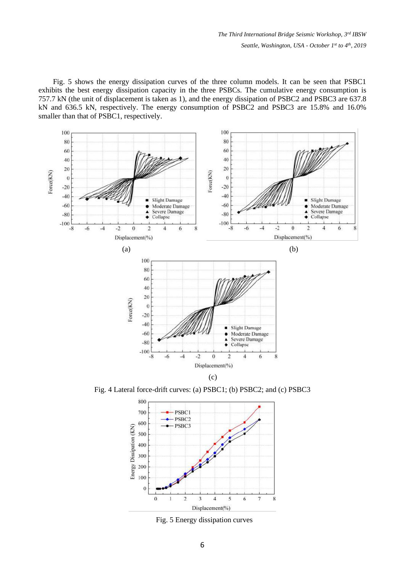Fig. 5 shows the energy dissipation curves of the three column models. It can be seen that PSBC1 exhibits the best energy dissipation capacity in the three PSBCs. The cumulative energy consumption is 757.7 kN (the unit of displacement is taken as 1), and the energy dissipation of PSBC2 and PSBC3 are 637.8 kN and 636.5 kN, respectively. The energy consumption of PSBC2 and PSBC3 are 15.8% and 16.0% smaller than that of PSBC1, respectively.



Fig. 4 Lateral force-drift curves: (a) PSBC1; (b) PSBC2; and (c) PSBC3



Fig. 5 Energy dissipation curves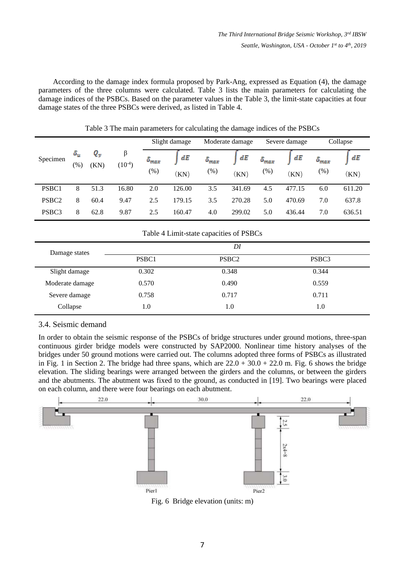According to the damage index formula proposed by Park-Ang, expressed as Equation (4), the damage parameters of the three columns were calculated. Table 3 lists the main parameters for calculating the damage indices of the PSBCs. Based on the parameter values in the Table 3, the limit-state capacities at four damage states of the three PSBCs were derived, as listed in Table 4.

|                   |                    | Q <sub>y</sub><br>β<br>$(10^{-4})$<br>(KN) | Slight damage |                          | Moderate damage  |                           | Severe damage |                          | Collapse   |                       |            |
|-------------------|--------------------|--------------------------------------------|---------------|--------------------------|------------------|---------------------------|---------------|--------------------------|------------|-----------------------|------------|
| Specimen          | $\delta_u$<br>(% ) |                                            |               | $\delta_{max}$<br>$(\%)$ | dE<br>$\rm (KN)$ | $\delta_{max}$<br>$(\% )$ | dE<br>(KN)    | $\delta_{max}$<br>$(\%)$ | dE<br>(KN) | $\delta_{max}$<br>(%) | dE<br>(KN) |
| PSBC1             | 8                  | 51.3                                       | 16.80         | 2.0                      | 126.00           | 3.5                       | 341.69        | 4.5                      | 477.15     | 6.0                   | 611.20     |
| PSBC <sub>2</sub> | 8                  | 60.4                                       | 9.47          | 2.5                      | 179.15           | 3.5                       | 270.28        | 5.0                      | 470.69     | 7.0                   | 637.8      |
| PSBC3             | 8                  | 62.8                                       | 9.87          | 2.5                      | 160.47           | 4.0                       | 299.02        | 5.0                      | 436.44     | 7.0                   | 636.51     |

Table 3 The main parameters for calculating the damage indices of the PSBCs

| Table 4 Limit-state capacities of PSBCs |       |                   |       |  |  |  |
|-----------------------------------------|-------|-------------------|-------|--|--|--|
|                                         | DI    |                   |       |  |  |  |
| Damage states                           | PSBC1 | PSBC <sub>2</sub> | PSBC3 |  |  |  |
| Slight damage                           | 0.302 | 0.348             | 0.344 |  |  |  |
| Moderate damage                         | 0.570 | 0.490             | 0.559 |  |  |  |
| Severe damage                           | 0.758 | 0.717             | 0.711 |  |  |  |
| Collapse                                | 1.0   | 1.0               | 1.0   |  |  |  |

## 3.4. Seismic demand

In order to obtain the seismic response of the PSBCs of bridge structures under ground motions, three-span continuous girder bridge models were constructed by SAP2000. Nonlinear time history analyses of the bridges under 50 ground motions were carried out. The columns adopted three forms of PSBCs as illustrated in Fig. 1 in Section 2. The bridge had three spans, which are  $22.0 + 30.0 + 22.0$  m. Fig. 6 shows the bridge elevation. The sliding bearings were arranged between the girders and the columns, or between the girders and the abutments. The abutment was fixed to the ground, as conducted in [19]. Two bearings were placed on each column, and there were four bearings on each abutment.



Fig. 6 Bridge elevation (units: m)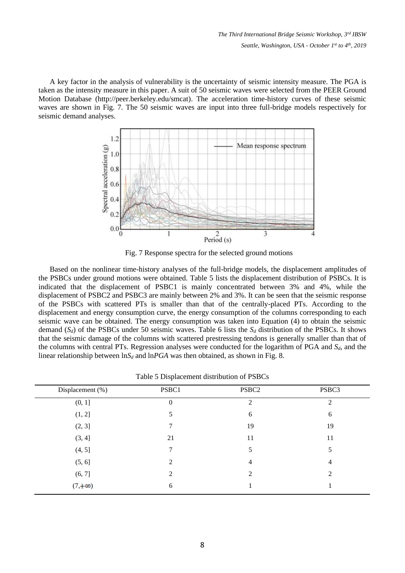A key factor in the analysis of vulnerability is the uncertainty of seismic intensity measure. The PGA is taken as the intensity measure in this paper. A suit of 50 seismic waves were selected from the PEER Ground Motion Database (http://peer.berkeley.edu/smcat). The acceleration time-history curves of these seismic waves are shown in Fig. 7. The 50 seismic waves are input into three full-bridge models respectively for seismic demand analyses.



Fig. 7 Response spectra for the selected ground motions

Based on the nonlinear time-history analyses of the full-bridge models, the displacement amplitudes of the PSBCs under ground motions were obtained. Table 5 lists the displacement distribution of PSBCs. It is indicated that the displacement of PSBC1 is mainly concentrated between 3% and 4%, while the displacement of PSBC2 and PSBC3 are mainly between 2% and 3%. It can be seen that the seismic response of the PSBCs with scattered PTs is smaller than that of the centrally-placed PTs. According to the displacement and energy consumption curve, the energy consumption of the columns corresponding to each seismic wave can be obtained. The energy consumption was taken into Equation (4) to obtain the seismic demand  $(S_d)$  of the PSBCs under 50 seismic waves. Table 6 lists the  $S_d$  distribution of the PSBCs. It shows that the seismic damage of the columns with scattered prestressing tendons is generally smaller than that of the columns with central PTs. Regression analyses were conducted for the logarithm of PGA and *Sd*, and the linear relationship between  $\ln S_d$  and  $\ln PGA$  was then obtained, as shown in Fig. 8.

| Displacement (%) | PSBC1            | PSBC <sub>2</sub> | PSBC3 |
|------------------|------------------|-------------------|-------|
| (0, 1]           | $\boldsymbol{0}$ | 2                 | 2     |
| (1, 2]           | 5                | 6                 | 6     |
| (2, 3]           |                  | 19                | 19    |
| (3, 4]           | 21               | 11                | 11    |
| (4, 5]           | 7                | 5                 | 5     |
| (5, 6]           | 2                | 4                 | 4     |
| (6, 7]           | 2                | 2                 | 2     |
| $(7, +\infty)$   | 6                |                   |       |

Table 5 Displacement distribution of PSBCs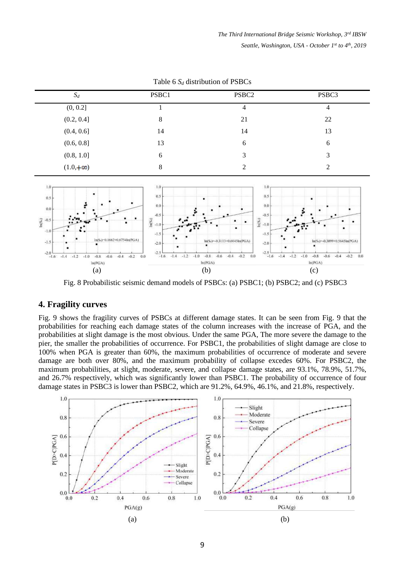| $S_d$            | PSBC1 | PSBC <sub>2</sub> | PSBC3 |
|------------------|-------|-------------------|-------|
| (0, 0.2]         |       | 4                 | 4     |
| (0.2, 0.4]       | 8     | 21                | 22    |
| (0.4, 0.6]       | 14    | 14                | 13    |
| (0.6, 0.8]       | 13    | 6                 | 6     |
| (0.8, 1.0]       | 6     | 3                 | 3     |
| $(1.0, +\infty)$ | 8     | ∍                 |       |

Table 6 *S<sup>d</sup>* distribution of PSBCs



Fig. 8 Probabilistic seismic demand models of PSBCs: (a) PSBC1; (b) PSBC2; and (c) PSBC3

## **4. Fragility curves**

Fig. 9 shows the fragility curves of PSBCs at different damage states. It can be seen from Fig. 9 that the probabilities for reaching each damage states of the column increases with the increase of PGA, and the probabilities at slight damage is the most obvious. Under the same PGA, The more severe the damage to the pier, the smaller the probabilities of occurrence. For PSBC1, the probabilities of slight damage are close to 100% when PGA is greater than 60%, the maximum probabilities of occurrence of moderate and severe damage are both over 80%, and the maximum probability of collapse excedes 60%. For PSBC2, the maximum probabilities, at slight, moderate, severe, and collapse damage states, are 93.1%, 78.9%, 51.7%, and 26.7% respectively, which was significantly lower than PSBC1. The probability of occurrence of four damage states in PSBC3 is lower than PSBC2, which are 91.2%, 64.9%, 46.1%, and 21.8%, respectively.

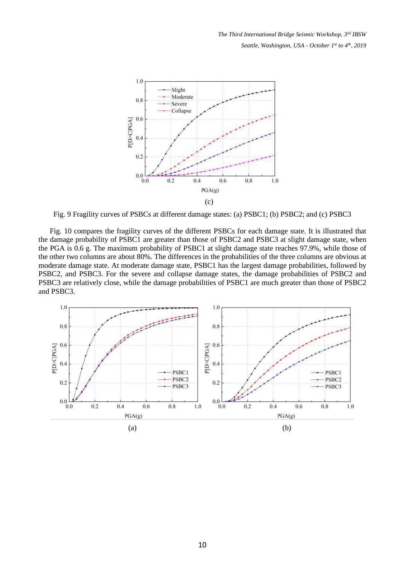

Fig. 9 Fragility curves of PSBCs at different damage states: (a) PSBC1; (b) PSBC2; and (c) PSBC3

Fig. 10 compares the fragility curves of the different PSBCs for each damage state. It is illustrated that the damage probability of PSBC1 are greater than those of PSBC2 and PSBC3 at slight damage state, when the PGA is 0.6 g. The maximum probability of PSBC1 at slight damage state reaches 97.9%, while those of the other two columns are about 80%. The differences in the probabilities of the three columns are obvious at moderate damage state. At moderate damage state, PSBC1 has the largest damage probabilities, followed by PSBC2, and PSBC3. For the severe and collapse damage states, the damage probabilities of PSBC2 and PSBC3 are relatively close, while the damage probabilities of PSBC1 are much greater than those of PSBC2 and PSBC3.

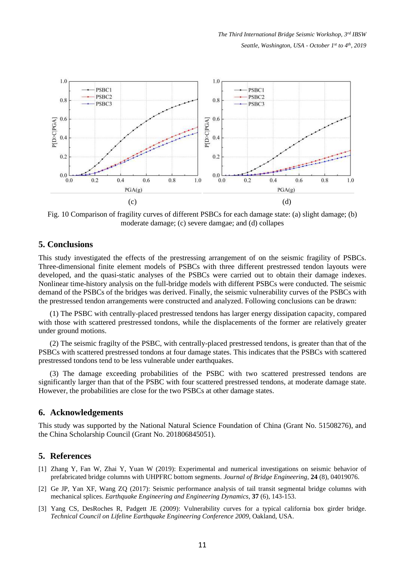

Fig. 10 Comparison of fragility curves of different PSBCs for each damage state: (a) slight damage; (b) moderate damage; (c) severe damgae; and (d) collapes

### **5. Conclusions**

This study investigated the effects of the prestressing arrangement of on the seismic fragility of PSBCs. Three-dimensional finite element models of PSBCs with three different prestressed tendon layouts were developed, and the quasi-static analyses of the PSBCs were carried out to obtain their damage indexes. Nonlinear time-history analysis on the full-bridge models with different PSBCs were conducted. The seismic demand of the PSBCs of the bridges was derived. Finally, the seismic vulnerability curves of the PSBCs with the prestressed tendon arrangements were constructed and analyzed. Following conclusions can be drawn:

(1) The PSBC with centrally-placed prestressed tendons has larger energy dissipation capacity, compared with those with scattered prestressed tondons, while the displacements of the former are relatively greater under ground motions.

(2) The seismic fragilty of the PSBC, with centrally-placed prestressed tendons, is greater than that of the PSBCs with scattered prestressed tondons at four damage states. This indicates that the PSBCs with scattered prestressed tondons tend to be less vulnerable under earthquakes.

(3) The damage exceeding probabilities of the PSBC with two scattered prestressed tendons are significantly larger than that of the PSBC with four scattered prestressed tendons, at moderate damage state. However, the probabilities are close for the two PSBCs at other damage states.

### **6. Acknowledgements**

This study was supported by the National Natural Science Foundation of China (Grant No. 51508276), and the China Scholarship Council (Grant No. 201806845051).

#### **5. References**

- [1] Zhang Y, Fan W, Zhai Y, Yuan W (2019): Experimental and numerical investigations on seismic behavior of prefabricated bridge columns with UHPFRC bottom segments. *Journal of Bridge Engineering*, **24** (8), 04019076.
- [2] Ge JP, Yan XF, Wang ZQ (2017): Seismic performance analysis of tail transit segmental bridge columns with mechanical splices. *Earthquake Engineering and Engineering Dynamics*, **37** (6), 143-153.
- [3] Yang CS, DesRoches R, Padgett JE (2009): Vulnerability curves for a typical california box girder bridge. *Technical Council on Lifeline Earthquake Engineering Conference 2009*, Oakland, USA.